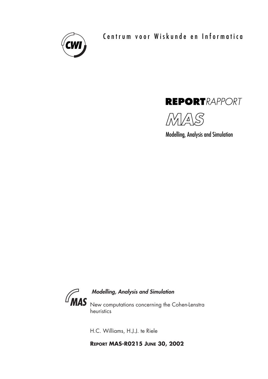

Centrum voor Wiskunde en Informatica





Modelling, Analysis and Simulation



# Modelling, Analysis and Simulation

New computations concerning the Cohen-Lenstra heuristics

H.C. Williams, H.J.J. te Riele

**REPORT MAS-R0215 JUNE 30, 2002**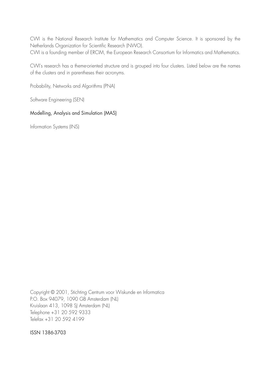CWI is the National Research Institute for Mathematics and Computer Science. It is sponsored by the Netherlands Organization for Scientific Research (NWO). CWI is a founding member of ERCIM, the European Research Consortium for Informatics and Mathematics.

CWI's research has a theme-oriented structure and is grouped into four clusters. Listed below are the names of the clusters and in parentheses their acronyms.

Probability, Networks and Algorithms (PNA)

Software Engineering (SEN)

## Modelling, Analysis and Simulation (MAS)

Information Systems (INS)

Copyright © 2001, Stichting Centrum voor Wiskunde en Informatica P.O. Box 94079, 1090 GB Amsterdam (NL) Kruislaan 413, 1098 SJ Amsterdam (NL) Telephone +31 20 592 9333 Telefax +31 20 592 4199

ISSN 1386-3703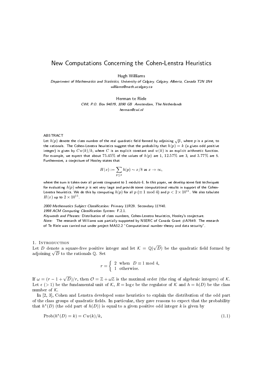## New Computations Concerning the Cohen-Lenstra Heuristics

Hugh Williams

Department of Mathematics and Statistics, University of Calgary, Calgary, Alberta, Canada T2N 1N4 williams@math.ucalgary.ca

> Herman te Riele CWI, P.O. Box 94079, 1090 GB Amsterdam, The Netherlands herman@cwi.nl

### ABSTRACT

Let  $h(p)$  denote the class number of the real quadratic field formed by adjoining  $\sqrt{p}$ , where p is a prime, to the rationals. The Cohen-Lenstra heuristics suggest that the probability that  $h(p) = k$  (a given odd positive integer) is given by  $Cw(k)/k$ , where C is an explicit constant and  $w(k)$  is an explicit arithmetic function. For example, we expect that about 75.45% of the values of  $h(p)$  are 1, 12.57% are 3, and 3.77% are 5. Furthermore, a conjecture of Hooley states that

$$
H(x):=\sum_{p\le x} h(p)\sim x/8 \text{ as } x\to \infty,
$$

where the sum is taken over all primes congruent to  $1$  modulo  $4$ . In this paper, we develop some fast techniques for evaluating  $h(p)$  where p is not very large and provide some computational results in support of the Cohen-Lenstra heuristics. We do this by computing  $h(p)$  for all  $p\ (\equiv 1\ {\rm mod}\ 4)$  and  $p < 2\times 10^{11}$ . We also tabulate  $H(x)$  up to  $2 \times 10^{11}$ .

2000 Mathematics Subject Classification: Primary 11R29. Secondary 11Y40. 1998 ACM Computing Classification System: F.2.1. Keywords and Phrases: Distribution of class numbers, Cohen-Lenstra heuristics, Hooley's conjecture. Note: The research of Williams was partially supported by NSERC of Canada Grant #A7649. The research of Te Riele was carried out under project MAS2.2 "Computational number theory and data security".

### 1. INTRODUCTION

Let D denote a square-free positive integer and let  $\mathcal{K} = \mathbb{Q}(\sqrt{D})$  be the quadratic field formed by adjoining  $\sqrt{D}$  to the rationals Q. Set

$$
r = \left\{ \begin{array}{ll} 2 & \text{when} \;\; D \equiv 1 \;\text{mod}\; 4, \\ 1 & \text{otherwise.} \end{array} \right.
$$

If  $\omega = (r-1+\sqrt{D})/r$ , then  $\mathcal{O} = \mathbb{Z} + \omega \mathbb{Z}$  is the maximal order (the ring of algebraic integers) of K. Let  $\epsilon$  (> 1) be the fundamental unit of K,  $R = \log \epsilon$  be the regulator of K and  $h = h(D)$  be the class number of  $K$ .

In [2, 3], Cohen and Lenstra developed some heuristics to explain the distribution of the odd part of the class groups of quadratic fields. In particular, they gave reasons to expect that the probability that  $h^*(D)$  (the odd part of  $h(D)$ ) is equal to a given positive odd integer k is given by

$$
Prob(h^*(D) = k) = Cw(k)/k,
$$
\n
$$
(1.1)
$$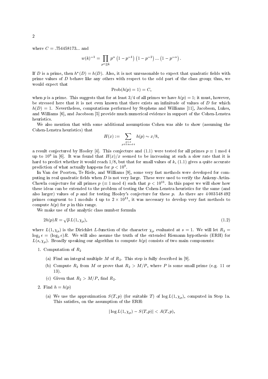where  $C = .754458173...$  and

$$
w(k)^{-1} = \prod_{p^{\alpha} || k} p^{\alpha} (1 - p^{-1}) (1 - p^{-2}) \dots (1 - p^{-\alpha}).
$$

If D is a prime, then  $h^*(D) = h(D)$ . Also, it is not unreasonable to expect that quadratic fields with prime values of  $D$  behave like any others with respect to the odd part of the class group; thus, we would expect that

$$
Prob(h(p) = 1) = C,
$$

when p is a prime. This suggests that for at least  $3/4$  of all primes we have  $h(p) = 1$ ; it must, however, be stressed here that it is not even known that there exists an infinitude of values of  $D$  for which  $h(D) = 1$ . Nevertheless, computations performed by Stephens and Williams [11], Jacobson, Lukes, and Williams  $[6]$ , and Jacobson  $[5]$  provide much numerical evidence in support of the Cohen-Lenstra heuristics.

We also mention that with some additional assumptions Cohen was able to show (assuming the Cohen-Lenstra heuristics) that

$$
H(x) := \sum_{\substack{p \le x \\ p \equiv 1 \bmod 4}} h(p) \sim x/8,
$$

a result conjectured by Hooley [4]. This conjecture and (1.1) were tested for all primes  $p \equiv 1 \text{ mod } 4$ up to  $10^9$  in [6]. It was found that  $H(x)/x$  seemed to be increasing at such a slow rate that it is hard to predict whether it would reach  $1/8$ , but that for small values of k,  $(1.1)$  gives a quite accurate prediction of what actually happens for  $p < 10^9$ .

In Van der Poorten, Te Riele, and Williams [9], some very fast methods were developed for computing in real quadratic fields when  $D$  is not very large. These were used to verify the Ankeny-Artin-Chowla conjecture for all primes  $p \ (\equiv 1 \mod 4)$  such that  $p < 10^{11}$ . In this paper we will show how these ideas can be extended to the problem of testing the Cohen-Lenstra heuristics for the same (and also larger) values of p and for testing Hooley's conjecture for these p. As there are  $4003548492$ primes congruent to 1 modulo 4 up to  $2 \times 10^{11}$ , it was necessary to develop very fast methods to compute  $h(p)$  for p in this range.

We make use of the analytic class number formula

$$
2h(p)R = \sqrt{p} L(1, \chi_p),\tag{1.2}
$$

where  $L(1, \chi_p)$  is the Dirichlet L-function of the character  $\chi_p$  evaluated at  $s = 1$ . We will let  $R_2 =$  $\log_2 e = (\log_2 e)R$ . We will also assume the truth of the extended Riemann hypothesis (ERH) for  $L(s, \chi_p)$ . Broadly speaking our algorithm to compute  $h(p)$  consists of two main components:

- 1. Computation of  $R_2$ 
	- (a) Find an integral multiple M of  $R_2$ . This step is fully described in [9].
	- (b) Compute  $R_2$  from M or prove that  $R_2 > M/P$ , where P is some small prime (e.g. 11 or
	- (c) Given that  $R_2 > M/P$ , find  $R_2$ .
- 2. Find  $h = h(p)$ 
	- (a) We use the approximation  $S(T, p)$  (for suitable T) of  $\log L(1, \chi_p)$ , computed in Step 1a. This satisfies, on the assumption of the ERH:

$$
|\log L(1, \chi_p) - S(T, p)| < A(T, p)
$$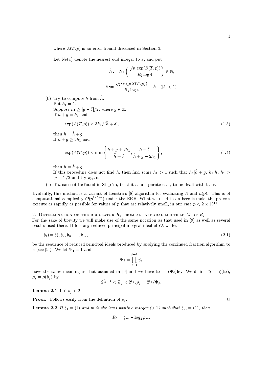where  $A(T, p)$  is an error bound discussed in Section 3.

Let  $Ne(x)$  denote the nearest odd integer to x, and put

$$
\tilde{h} := \text{Ne}\left(\frac{\sqrt{p}\, \exp(S(T, p))}{R_2 \log 4}\right) \in \mathbb{N},
$$

$$
\delta := \frac{\sqrt{p}\, \exp(S(T, p))}{R_2 \log 4} - \tilde{h} \quad (|\delta| < 1).
$$

(b) Try to compute h from  $\tilde{h}$ .

Put  $h_1=1$ . Suppose  $h_1 \ge |g - \delta|/2$ , where  $g \in \mathbb{Z}$ . If  $\tilde{h} + g = h_1$  and  $\exp(A(T,p)) < 3h_1/(\tilde{h} + \delta),$  $(1.3)$ 

then  $h = \tilde{h} + g$ . If  $\tilde{h} + g \geq 3h_1$  and

$$
\exp(A(T,p)) < \min\left\{\frac{\tilde{h} + g + 2h_1}{\tilde{h} + \delta}, \frac{\tilde{h} + \delta}{\tilde{h} + g - 2h_1}\right\},\tag{1.4}
$$

then  $h = \tilde{h} + g$ .

If this procedure does not find h, then find some  $h_1 > 1$  such that  $h_1 | h_1 > h_1 | h$ ,  $h_1 >$  $|g-\delta|/2$  and try again.

(c) If  $h$  can not be found in Step 2b, treat it as a separate case, to be dealt with later.

Evidently, this method is a variant of Lenstra's [8] algorithm for evaluating R and  $h(p)$ . This is of computational complexity  $\mathcal{O}(p^{1/5+\epsilon})$  under the ERH. What we need to do here is make the process execute as rapidly as possible for values of p that are relatively small, in our case  $p < 2 \times 10^{11}$ .

2. DETERMINATION OF THE REGULATOR  $R_2$  FROM AN INTEGRAL MULTIPLE M OF  $R_2$ For the sake of brevity we will make use of the same notation as that used in [9] as well as several results used there. If  $\mathfrak b$  is any reduced principal integral ideal of  $\mathcal O$ , we let

$$
\mathfrak{b}_1(=\mathfrak{b}), \mathfrak{b}_2, \mathfrak{b}_3, \dots, \mathfrak{b}_m, \dots \tag{2.1}
$$

be the sequence of reduced principal ideals produced by applying the continued fraction algorithm to b (see [9]). We let  $\Psi_1 = 1$  and

$$
\Psi_j = \prod_{i=1}^{j-1} \psi_i
$$

have the same meaning as that assumed in [9] and we have  $\mathfrak{b}_j = (\Psi_j)\mathfrak{b}_1$ . We define  $\zeta_j = \zeta(\mathfrak{b}_j)$ ,  $\rho_j = \rho(\mathfrak{b}_j)$  by

$$
2^{\zeta_j-1}<\Psi_j<2^{\zeta_j}, \rho_j=2^{\zeta_j}/\Psi_j
$$

**Lemma 2.1**  $1 < \rho_j < 2$ .

**Proof.** Follows easily from the definition of  $\rho_i$ .

**Lemma 2.2** If  $b_1 = (1)$  and m is the least positive integer (> 1) such that  $b_m = (1)$ , then

$$
R_2 = \zeta_m - \log_2 \rho_m.
$$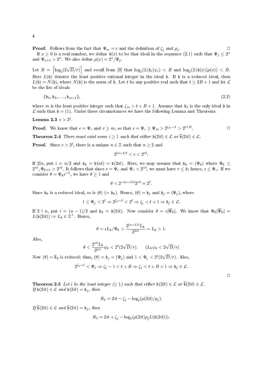**Proof.** Follows from the fact that  $\Psi_m = \epsilon$  and the definition of  $\zeta_i$  and  $\rho_i$ .  $\Box$ If  $x \geq 0$  is a real number, we define  $\mathfrak{b}(x)$  to be that ideal in the sequence (2.1) such that  $\Psi_i \leq 2^x$ and  $\Psi_{j+1} > 2^x$ . We also define  $\rho(x) = 2^x/\Psi_j$ .

Let  $B = \left| \log_2(2\sqrt{D}/r) \right|$  and recall from [9] that  $\log_2(L(\mathfrak{b}_i)\psi_i) < B$  and  $\log_2(L(\mathfrak{b}(x))\rho(x)) < B$ . Here  $L(\mathfrak{b})$  denotes the least positive rational integer in the ideal  $\mathfrak{b}$ . If  $\mathfrak{b}$  is a reduced ideal, then  $L(\mathfrak{b}) = N(\mathfrak{b})$ , where  $N(\mathfrak{b})$  is the norm of  $\mathfrak{b}$ . Let t be any positive real such that  $t \geq 2B + 1$  and let  $\mathcal{L}$ be the list of ideals

$$
\{b_1, b_2, \ldots, b_{m-1}\},\tag{2.2}
$$

where m is the least positive integer such that  $\zeta_m > t + B + 1$ . Assume that  $\mathfrak{b}_1$  is the only ideal b in  $\mathcal L$  such that  $\mathfrak b = (1)$ . Under these circumstances we have the following Lemma and Theorems.

Lemma 2.3  $\epsilon > 2^t$ .

**Proof.** We know that  $\epsilon = \Psi_r$  and  $r \geq m$ , so that  $\epsilon = \Psi_r \geq \Psi_m > 2^{\zeta_m - 1} > 2^{t+B}$ .

**Theorem 2.4** There must exist some  $i \ge 1$  such that either  $\mathfrak{b}(2it) \in \mathcal{L}$  or  $\overline{\mathfrak{b}}(2it) \in \mathcal{L}$ .

**Proof.** Since  $\epsilon > 2^t$ , there is a unique  $n \in \mathbb{Z}$  such that  $n \geq 2$  and

$$
2^{(n-1)t} < \epsilon < 2^{nt}.
$$

If  $2|n$ , put  $i = n/2$  and  $\mathfrak{b}_k = \mathfrak{b}(nt) = \mathfrak{b}(2it)$ . Here, we may assume that  $\mathfrak{b}_k = (\Psi_k)$  where  $\Psi_k \leq$  $2^{nt}, \Psi_{k+1} > 2^{nt}$ . It follows that since  $\epsilon = \Psi_r$  and  $\Psi_r < 2^{nt}$ , we must have  $r \leq k$ ; hence,  $\epsilon \leq \Psi_r$ . If we consider  $\theta = \Psi_k e^{-1}$ , we have  $\theta \ge 1$  and

$$
\theta<2^{-(n-1)t}2^{nt}=2^t
$$

Since  $\mathfrak{b}_k$  is a reduced ideal, so is  $(\theta)$  (=  $\mathfrak{b}_k$ ). Hence,  $(\theta) = \mathfrak{b}_j$  and  $\mathfrak{b}_j = (\Psi_j)$ , where

$$
1\leq \Psi_j<2^t\Rightarrow 2^{\zeta_j-1}<2^t\Rightarrow \zeta_j
$$

If  $2 \nmid n$ , put  $i = (n-1)/2$  and  $b_k = b(2it)$ . Now consider  $\theta = \epsilon |\overline{\Psi}_k|$ . We know that  $\Psi_k |\overline{\Psi}_k|$  $L(\mathfrak{b}(2it)) := L_k \in \mathbb{Z}^+$ . Hence,

$$
\theta = \epsilon L_k / \Psi_k > \frac{2^{(n-1)t} L_k}{2^{2it}} = L_k > 1.
$$

Also.

$$
\theta < \frac{2^{nt} L_k}{2^{2it}} \psi_k < 2^t (2\sqrt{D}/r). \qquad (L_k \psi_k < 2\sqrt{D}/r)
$$

Now  $(\theta) = \overline{b}_k$  is reduced; thus,  $(\theta) = b_j = (\Psi_j)$  and  $1 < \Psi_j < 2^t (2\sqrt{D}/r)$ . Also,

$$
2^{\zeta_j-1}<\Psi_j\Rightarrow \zeta_j-1
$$

**Theorem 2.5** Let i be the least integer  $(\geq 1)$  such that either  $\mathfrak{b}(2it) \in \mathcal{L}$  or  $\overline{\mathfrak{b}}(2it) \in \mathcal{L}$ . If  $\mathfrak{b}(2it) \in \mathcal{L}$  and  $\mathfrak{b}(2it) = \mathfrak{b}_i$ , then

$$
R_2 = 2it - \zeta_j - \log_2(\rho(2it)/\rho_j).
$$

If  $\overline{\mathfrak{b}}(2it) \in \mathcal{L}$  and  $\overline{\mathfrak{b}}(2it) = \mathfrak{b}_i$ , then

$$
R_2 = 2it + \zeta_j - \log_2(\rho(2it)\rho_j L(\mathfrak{b}(2it))).
$$

 $\Box$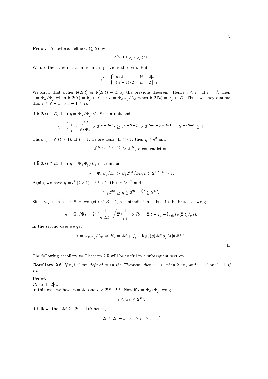**Proof.** As before, define  $n \ (\geq 2)$  by

$$
2^{(n-1)t} < \epsilon < 2^{nt}.
$$

We use the same notation as in the previous theorem. Put

$$
i' = \begin{cases} n/2 & \text{if } 2|n\\ (n-1)/2 & \text{if } 2 \nmid n. \end{cases}
$$

We know that either  $\mathfrak{b}(2i' t)$  or  $\overline{\mathfrak{b}}(2i' t) \in \mathcal{L}$  by the previous theorem. Hence  $i \leq i'$ . If  $i = i'$ , then  $\epsilon = \Psi_k/\Psi_j$  when  $\mathfrak{b}(2i't) = \mathfrak{b}_j \in \mathcal{L}$ , or  $\epsilon = \Psi_k \Psi_j/L_k$  when  $\overline{\mathfrak{b}}(2i't) = \mathfrak{b}_j \in \mathcal{L}$ . Thus, we may assume that  $i \leq i'-1 \Rightarrow n-1 \geq 2i$ .

If  $\mathfrak{b}(2it) \in \mathcal{L}$ , then  $\eta = \Psi_k / \Psi_j \leq 2^{2it}$  is a unit and

$$
\eta = \frac{\Psi_k}{\Psi_j} > \frac{2^{2it}}{\psi_k \Psi_j} > 2^{2it - B - \zeta_j} \ge 2^{2t - B - \zeta_j} > 2^{2t - B - (t + B + 1)} = 2^{t - 2B - 1} \ge 1.
$$

Thus,  $\eta = \epsilon^l$   $(l \ge 1)$ . If  $l = 1$ , we are done. If  $l > 1$ , then  $\eta \ge \epsilon^2$  and

 $2^{2it} > 2^{2(n-1)t} > 2^{4it}$ , a contradiction.

If  $\overline{\mathfrak{b}}(2it) \in \mathcal{L}$ , then  $\eta = \Psi_k \Psi_j / L_k$  is a unit and

$$
\eta = \Psi_k \Psi_j / L_k > \Psi_j 2^{2it} / L_k \psi_k > 2^{2it - B} > 1.
$$

Again, we have  $\eta = \epsilon^l$   $(l \ge 1)$ . If  $l > 1$ , then  $\eta \ge \epsilon^2$  and

$$
\Psi_i 2^{2it} \ge \eta \ge 2^{2(n-1)t} \ge 2^{4it}.
$$

Since  $\Psi_j < 2^{\zeta_j} < 2^{t+B+1}$ , we get  $t \leq B+1$ , a contradiction. Thus, in the first case we get

$$
\epsilon = \Psi_k / \Psi_j = 2^{2it} \frac{1}{\rho(2it)} / 2^{\zeta_j} \frac{1}{\rho_j} \Rightarrow R_2 = 2it - \zeta_j - \log_2(\rho(2it)/\rho_j).
$$

In the second case we get

$$
\epsilon = \Psi_k \Psi_j / L_k \Rightarrow R_2 = 2it + \zeta_j - \log_2(\rho(2it)\rho_j L(\mathfrak{b}(2it)))
$$

 $\Box$ 

The following corollary to Theorem 2.5 will be useful in a subsequent section.

**Corollary 2.6** If n, i, i' are defined as in the Theorem, then  $i = i'$  when  $2 \nmid n$ , and  $i = i'$  or  $i' - 1$  if  $2|n.$ 

### Proof.

Case 1.  $2|n$ . In this case we have  $n = 2i'$  and  $\epsilon \geq 2^{(2i'-1)t}$ . Now if  $\epsilon = \Psi_k/\Psi_j$ , we get

$$
\epsilon \leq \Psi_k \leq 2^{2it}.
$$

It follows that  $2it > (2i'-1)t$ ; hence,

$$
2i \ge 2i' - 1 \Rightarrow i \ge i' \Rightarrow i = i'
$$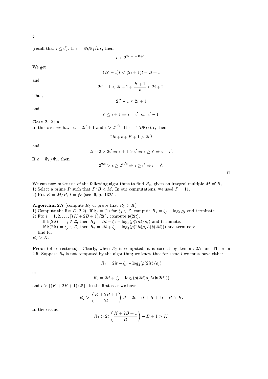(recall that  $i \leq i'$ ). If  $\epsilon = \Psi_k \Psi_j / L_k$ , then

 $\epsilon < 2^{2it + t + B + 1}$ .

We get

$$
(2i'-1)t < (2i+1)t + B + 1
$$

and

$$
2i' - 1 < 2i + 1 + \frac{B+1}{t} < 2i + 2
$$

Thus,

and

$$
i' < i + 1 \Rightarrow i = i' \quad \text{or} \quad i' - 1.
$$

 $2i' - 1 \leq 2i + 1$ 

Case 2.  $2 \nmid n$ .

In this case we have  $n = 2i' + 1$  and  $\epsilon > 2^{2i'}$ . If  $\epsilon = \Psi_k \Psi_j / L_k$ , then

$$
2it + t + B + 1 > 2i't
$$

and

$$
2i + 2 > 2i' \Rightarrow i + 1 > i' \Rightarrow i \ge i' \Rightarrow i = i'.
$$

$$
2^{2it} > \epsilon \ge 2^{2i't} \Rightarrow i \ge i' \Rightarrow i = i'.
$$

If  $\epsilon = \Psi_k/\Psi_j$ , then

We can now make use of the following algorithms to find  $R_2$ , given an integral multiple M of  $R_2$ . 1) Select a prime P such that  $P^2B < M$ . In our computations, we used  $P = 11$ . 2) Put  $K = M/P$ ,  $t = fc$  (see [9, p. 1325].

Algorithm 2.7 (compute  $R_2$  or prove that  $R_2 > K$ ) 1) Compute the list  $\mathcal{L}(2.2)$ . If  $\mathfrak{b}_j = (1)$  for  $\mathfrak{b}_j \in \mathcal{L}$ , compute  $R_2 = \zeta_j - \log_2 \rho_j$  and terminate. 2) For  $i = 1, 2, ..., [(K + 2B + 1)/2t]$ , compute  $\mathfrak{b}(2it)$ . If  $\mathfrak{b}(2it) = \mathfrak{b}_j \in \mathcal{L}$ , then  $R_2 = 2it - \zeta_j - \log_2(\rho(2it)/\rho_j)$  and terminate.<br>If  $\mathfrak{b}(2it) = \mathfrak{b}_j \in \mathcal{L}$ , then  $R_2 = 2it + \zeta_j - \log_2(\rho(2it)\rho_j L(\mathfrak{b}(2it)))$  and terminate. End for  $R_2 > K$ .

**Proof** (of correctness). Clearly, when  $R_2$  is computed, it is correct by Lemma 2.2 and Theorem 2.5. Suppose  $R_2$  is not computed by the algorithm; we know that for some *i* we must have either

$$
R_2 = 2it - \zeta_j - \log_2(\rho(2it)/\rho_j)
$$

**or** 

$$
R_2 = 2it + \zeta_j - \log_2(\rho(2it)\rho_j L(\mathfrak{b}(2it)))
$$

and  $i > [(K + 2B + 1)/2t]$ . In the first case we have

$$
R_2 > \left(\frac{K+2B+1}{2t}\right)2t + 2t - (t+B+1) - B > K.
$$

In the second

$$
R_2 > 2t\left(\frac{K + 2B + 1}{2t}\right) - B + 1 > K.
$$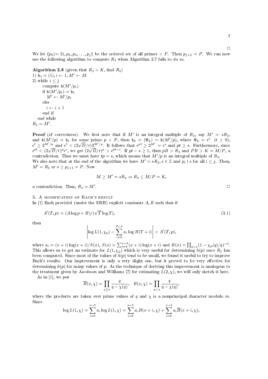We let  $\{p_1(=3), p_2, p_3, \ldots, p_j\}$  be the ordered set of all primes  $\langle P \rangle$ . Then  $p_{j+1} = P$ . We can now use the following algorithm to compute  $R_2$  when Algorithm 2.7 fails to do so.

**Algorithm 2.8** (given that  $R_2 > K$ , find  $R_2$ ) 1)  $\mathfrak{b}_1 = (1), i \leftarrow 1, M' \leftarrow M.$ 2) while  $i \leq j$ compute  $\mathfrak{b}(M'/p_i)$ if  $\mathfrak{b}(M'/p_i)=\mathfrak{b}_1$  $M' \leftarrow M'/p_i$ else  $i \leftarrow i + 1$ end if end while  $R_2 = M'.$ 

**Proof** (of correctness). We first note that if M' is an integral multiple of  $R_2$ , say  $M' = sR_2$ , and  $\mathfrak{b}(M'/p) = \mathfrak{b}_1$  for some prime  $p < P$ , then  $\mathfrak{b}_k = (\Psi_k) = \mathfrak{b}(M'/p)$ , where  $\Psi_k = \epsilon^t$   $(t \ge 0)$ ,  $\epsilon^t \ge 2^{M'/p}$  and  $\epsilon^t < (2\sqrt{D}/r)2^{M'/p}$ . It follows that  $\epsilon^{pt} \ge 2^{M'} = \epsilon^s$  and  $pt \ge s$ . Furthermore, since  $\epsilon^{pt} < (2\sqrt{D}/r)^p \epsilon^s$ , we get  $(2\sqrt{D}/r)^p > \epsilon^{pt-s}$ . If  $pt-s \geq 1$ , then  $pB > R_2$  and  $PB > K = M/P$ , a contradiction. Thus we must have  $tp = s$ , which means that  $M'/p$  is an integral multiple of  $R_2$ . We also note that at the end of the algorithm we have  $M' = sR_2$ ,  $s \in \mathbb{Z}$  and  $p_i \nmid s$  for all  $i \leq j$ . Then,  $M' = R_2$  or  $s \ge p_{i+1} = P$ . Now

$$
M\geq M'=sR_2\Rightarrow R_2\leq M/P=K,
$$

a contradiction. Thus,  $R_2 = M'$ .

3. A MODIFICATION OF BACH'S RESULT

In [1] Bach provided (under the ERH) explicit constants  $A, B$  such that if

$$
A'(T, p) = (A \log p + B) / (\sqrt{T \log T}),\tag{3.1}
$$

then

$$
\left|\log L(1,\chi_p)-\sum_{i=0}^{T-1}a_i\log B(T+i)\right|< A'(T,p),
$$

where  $a_i = (x + i) \log(x + i)/S(x)$ ,  $S(x) = \sum_{i=0}^{x-1} (x + i) \log(x + i)$  and  $B(x) = \prod_{q < x} (1 - \chi_p(q)/q)^{-1}$ .<br>This allows us to get an estimate for  $L(1, \chi_p)$  which is very useful for determining  $h(p)$  once  $R_2$  has been computed. Since most of the values of  $h(p)$  tend to be small, we found it useful to try to improve Bach's results. Our improvement is only a very slight one, but it proved to be very effective for determining  $h(p)$  for many values of p. As the technique of deriving this improvement is analogous to the treatment given by Jacobson and Williams [7] for estimating  $L(2, \chi)$ , we will only sketch it here.

As in  $[1]$ , we put

$$
\overline{B}(x,\chi)=\prod_{q\geq x}\frac{q}{q-\chi(q)},\ \ B(x,\chi)=\prod_{q
$$

where the products are taken over prime values of q and  $\chi$  is a nonprincipal character modulo m. Since

$$
\log L(1, \chi) = \sum_{i=0}^{x-1} a_i \log L(1, \chi) = \sum_{i=0}^{x-1} a_i B(x+i, \chi) + \sum_{i=0}^{x-1} a_i \overline{B}(x+i, \chi),
$$

 $\Box$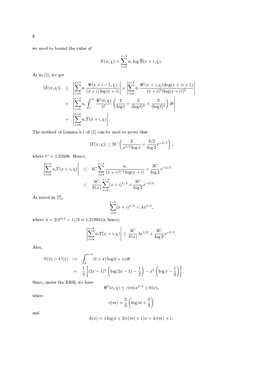we need to bound the value of

$$
E(x, \chi) = \sum_{i=0}^{x-1} a_i \log \overline{B}(x+i, \chi).
$$

As in  $[1]$ , we get

$$
|E(x, \chi)| \leq \left| \sum_{i=0}^{x-1} a_i \frac{\Psi(x+i-1, \chi)}{(x+i) \log(x+i)} \right| + \left| \sum_{i=0}^{x-1} a_i \frac{\Psi^1(x+i, \chi) (\log(x+i)+1)}{(x+i)^2 (\log(x+i))^2} \right|
$$
  
+ 
$$
\left| \sum_{i=0}^{x-1} a_i \int_x^{\infty} \frac{\Psi^1(t, \chi)}{t^3} \left( \frac{2}{\log t} + \frac{3}{(\log t)^2} + \frac{2}{(\log t)^3} \right) dt \right|
$$
  
+ 
$$
\left| \sum_{i=0}^{x-1} a_i T(x+i, \chi) \right|.
$$

The method of Lemma 5.1 of [1] can be used to prove that

$$
|T(x,\chi)| \leq 2C\left(\frac{2}{x^{1/2}\log x} + \frac{3/2}{\log 2}x^{-2/3}\right),\,
$$

where  $C = 1.25506$ . Hence,

$$
\begin{array}{l}\n\left| \sum_{i=0}^{x-1} a_i T(x+i, \chi) \right| & \leq 4C \sum_{i=0}^{x-1} \frac{a_i}{(x+i)^{1/2} \log(x+i)} + \frac{3C}{\log 2} x^{-2/3} \\
& \leq \frac{4C}{S(x)} \sum_{i=0}^{x-1} (x+i)^{1/2} + \frac{3C}{\log 2} x^{-2/3}.\n\end{array}
$$

As noted in  $[7]$ ,

$$
\sum_{i=0}^{x-1} (x+i)^{1/2} < \lambda x^{3/2},
$$

where  $\lambda = 2(2^{3/2} - 1)/3 \approx 1.2189514$ ; hence,

$$
\left|\sum_{i=0}^{x-1} a_i T(x+i,\chi)\right| \leq \frac{4C}{S(x)} \lambda x^{3/2} + \frac{3C}{\log 2} x^{-2/3}.
$$

Also,

$$
S(x) > U(x) := \int_0^{x-1} (t+x) \log(t+x) dt
$$
  
=  $\frac{1}{2} \left[ (2x-1)^2 \left( \log(2x-1) - \frac{1}{2} \right) - x^2 \left( \log x - \frac{1}{2} \right) \right].$ 

Since, under the ERH, we have

$$
\Psi^1(x,\chi) \le c(m)x^{3/2} + h(x),
$$

where

$$
c(m) = \frac{2}{3} \left( \log m + \frac{5}{3} \right)
$$

and

$$
h(x) = x \log x + 2(c(m) + 1)x + 3c(m) + 1,
$$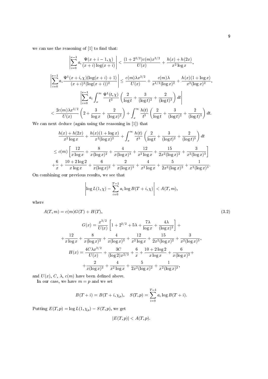we can use the reasoning of  $[1]$  to find that:

$$
\left| \sum_{i=0}^{x-1} a_i \frac{\Psi(x+i-1,\chi)}{(x+i)\log(x+i)} \right| < \frac{(1+2^{3/2})c(m)x^{3/2}}{U(x)} + \frac{h(x)+h(2x)}{x^2 \log x},
$$
\n
$$
\left| \sum_{i=0}^{x-1} a_i \frac{\Psi^1(x+i,\chi)(\log(x+i)+1)}{(x+i)^2(\log(x+i))^2} \right| \le \frac{c(m)\lambda x^{3/2}}{U(x)} + \frac{c(m)\lambda}{x^{1/2}(\log x)^2} + \frac{h(x)(1+\log x)}{x^2(\log x)^2},
$$
\n
$$
\left| \sum_{i=0}^{x-1} a_i \int_x^\infty \frac{\Psi^1(t,\chi)}{t^3} \left( \frac{2}{\log t} + \frac{3}{(\log t)^2} + \frac{2}{(\log t)^3} \right) dt \right|
$$
\n
$$
< \frac{2c(m)\lambda x^{3/2}}{U(x)} \left( 2 + \frac{3}{\log x} + \frac{2}{(\log x)^2} \right) + \int_x^\infty \frac{h(t)}{t^3} \left( \frac{2}{\log t} + \frac{3}{(\log t)^2} + \frac{2}{(\log t)^3} \right) dt.
$$
\nnext deduce (origin using the reasoning in [1]) that

We can next deduce (again using the reasoning in  $\left[1\right] )$  that

$$
\frac{h(x) + h(2x)}{x^2 \log x} + \frac{h(x)(1 + \log x)}{x^2(\log x)^2} + \int_x^{\infty} \frac{h(t)}{t^3} \left( \frac{2}{\log t} + \frac{3}{(\log t)^2} + \frac{2}{(\log t)^3} \right) dt
$$
  
\n
$$
\leq c(m) \left[ \frac{12}{x \log x} + \frac{8}{x(\log x)^2} + \frac{4}{x(\log x)^3} + \frac{12}{x^2 \log x} + \frac{15}{2x^2(\log x)^2} + \frac{3}{x^2(\log x)^3} \right]
$$
  
\n
$$
+ \frac{6}{x} + \frac{10 + 2 \log 2}{x \log x} + \frac{6}{x(\log x)^2} + \frac{2}{x(\log x)^3} + \frac{4}{x^2 \log x} + \frac{5}{2x^2(\log x)^2} + \frac{1}{x^2(\log x)^3}
$$

On combining our previous results, we see that

$$
\left|\log L(1,\chi)-\sum_{i=0}^{T-1}a_i\log B(T+i,\chi)\right|< A(T,m).
$$

where

$$
A(T,m) = c(m)G(T) + H(T),
$$
\n
$$
G(x) = \frac{x^{3/2}}{U(x)} \left[ 1 + 2^{3/2} + 5\lambda + \frac{7\lambda}{\log x} + \frac{4\lambda}{(\log x)^2} \right] +
$$
\n
$$
+ \frac{12}{x \log x} + \frac{8}{x(\log x)^2} + \frac{4}{x(\log x)^3} + \frac{12}{x^2 \log x} + \frac{15}{2x^2(\log x)^2} + \frac{3}{x^2(\log x)^3},
$$
\n
$$
H(x) = \frac{4C\lambda x^{3/2}}{U(x)} + \frac{3C}{(\log 2)x^{2/3}} + \frac{6}{x} + \frac{10 + 2\log 2}{x \log x} + \frac{6}{x(\log x)^2} + \frac{2}{x(\log x)^3} + \frac{4}{x^2 \log x} + \frac{5}{2x^2(\log x)^3},
$$
\n(3.2)

and  $U(x)$ , C,  $\lambda$ ,  $c(m)$  have been defined above.

In our case, we have  $m = p$  and we set

$$
B(T + i) = B(T + i, \chi_p), \quad S(T, p) = \sum_{i=0}^{T-1} a_i \log B(T + i).
$$

Putting  $E(T, p) = \log L(1, \chi_p) - S(T, p)$ , we get

$$
|E(T,p)| < A(T,p).
$$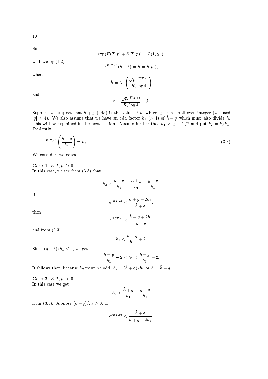Since

$$
\exp(E(T, p) + S(T, p)) = L(1, \chi_p)
$$

we have by  $(1.2)$ 

$$
e^{E(T,p)}(h+\delta)=h(=h(p)),
$$

where

$$
\tilde{h} = \text{Ne}\left(\frac{\sqrt{p}e^{S(T,p)}}{R_2\log 4}\right)
$$

and

$$
\delta = \frac{\sqrt{p}e^{S(T,p)}}{R_2\log 4} - \tilde{h}.
$$

Suppose we suspect that  $\tilde{h} + g$  (odd) is the value of h, where |g| is a small even integer (we used  $|g| \leq 4$ ). We also assume that we have an odd factor  $h_1 \geq 1$  of  $\tilde{h} + g$  which must also divide h. This will be explained in the next section. Assume further that  $h_1 \ge |g - \delta|/2$  and put  $h_2 = h/h_1$ . Evidently,

$$
e^{E(T,p)}\left(\frac{\tilde{h}+\delta}{h_1}\right) = h_2. \tag{3.3}
$$

We consider two cases.

**Case 1.**  $E(T, p) > 0$ . In this case, we see from  $(3.3)$  that

$$
h_2 > \frac{h + \delta}{h_1} = \frac{h + g}{h_1} - \frac{g - \delta}{h_1}.
$$
\n
$$
e^{A(T,p)} < \frac{\tilde{h} + g + 2h_1}{\tilde{h} + \delta},
$$

 $If$ 

then

$$
h + \delta
$$
  

$$
e^{E(T,p)} < \frac{\tilde{h} + g + 2h_1}{\tilde{h} + \delta}
$$

and from 
$$
(3.3)
$$

$$
h_2 < \frac{h+g}{h_1} + 2.
$$

Since  $(g - \delta)/h_1 \leq 2$ , we get

$$
\frac{\tilde{h}+g}{h_1}-2
$$

It follows that, because  $h_2$  must be odd,  $h_2 = (\tilde{h} + g)/h_1$  or  $h = \tilde{h} + g$ .

**Case 2.**  $E(T, p) < 0$ . In this case we get

$$
h_2<\frac{\tilde{h}+g}{h_1}-\frac{g-\delta}{h_1}
$$

from (3.3). Suppose  $(\tilde{h} + g)/h_1 \geq 3$ . If

$$
e^{A(T,p)} < \frac{\tilde{h} + \delta}{\tilde{h} + g - 2h_1}
$$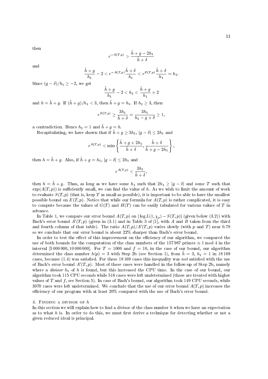then

$$
e^{-A(T,p)} > \frac{\tilde{h} + g - 2h_1}{\tilde{h} + \delta}
$$

and

$$
\frac{\tilde{h}+g}{h_1}-2 < e^{-A(T,p)}\frac{\tilde{h}+\delta}{h_1} < e^{E(T,p)}\frac{\tilde{h}+\delta}{h_1} = h_2.
$$

Since  $(g - \delta)/h_1 \geq -2$ , we get

$$
\frac{\tilde{h}+g}{h_1}-2
$$

and  $h = \tilde{h} + g$ . If  $(\tilde{h} + g)/h_1 < 3$ , then  $\tilde{h} + g = h_1$ . If  $h_2 \geq 3$ , then

$$
e^{E(T,p)}\geq \frac{3h_1}{\tilde{h}+\delta}=\frac{3h_1}{h_1-g+\delta}\geq 1,
$$

a contradiction. Hence  $h_2 = 1$  and  $\tilde{h} + g = h$ .

Recapitulating, we have shown that if  $\tilde{h} + g \ge 3h_1$ ,  $|g - \delta| \le 2h_1$  and

$$
e^{A(T,p)} < \min\left\{\frac{\tilde{h}+g+2h_1}{\tilde{h}+\delta}, \frac{\tilde{h}+\delta}{\tilde{h}+g-2h_1}\right\},\,
$$

then  $h = \tilde{h} + g$ . Also, if  $\tilde{h} + g = h_1$ ,  $|g - \delta| \leq 2h_1$  and

$$
e^{A(T,p)}<\frac{3h_1}{\tilde{h}+\delta},
$$

then  $h = \tilde{h} + g$ . Thus, as long as we have some  $h_1$  such that  $2h_1 \ge |g - \delta|$  and some T such that  $\exp(A(T, p))$  is sufficiently small, we can find the value of h. As we wish to limit the amount of work to evaluate  $S(T, p)$  (that is, keep T as small as possible), it is important to be able to have the smallest possible bound on  $E(T, p)$ . Notice that while our formula for  $A(T, p)$  is rather complicated, it is easy to compute because the values of  $G(T)$  and  $H(T)$  can be easily tabulated for various values of T in advance.

In Table 1, we compare our error bound  $A(T,p)$  on  $|\log L(1,\chi_p)-S(T,p)|$  (given below (3.2)) with Bach's error bound  $A'(T, p)$  (given in (3.1) and in Table 3 of [1], with A and B taken from the third and fourth column of that table). The ratio  $A(T,p)/A'(T,p)$  varies slowly (with p and T) near 0.78 so we conclude that our error bound is about 22% sharper than Bach's error bound.

In order to test the effect of this improvement on the efficiency of our algorithm, we compared the use of both bounds for the computation of the class numbers of the 157987 primes  $\equiv 1 \mod 4$  in the interval [5 000 000, 10 000 000]. For  $T = 1000$  and  $f = 10$ , in the case of our bound, our algorithm determined the class number  $h(p) = 3$  with Step 2b (see Section 1), from  $\tilde{h} = 3$ ,  $h_1 = 1$  in 18169 cases, because  $(1.4)$  was satisfied. For these 18169 cases this inequality was not satisfied with the use of Bach's error bound  $A'(T, p)$ . Most of these cases were handled in the follow-up of Step 2b, namely where a *divisor*  $h_1$  of h is found, but this increased the CPU time. In the case of our bound, our algorithm took 115 CPU seconds while 516 cases were left undetermined (those are treated with higher values of T and  $f$ , see Section 5). In case of Bach's bound, our algorithm took 149 CPU seconds, while 3070 cases were left undetermined. We conclude that the use of our error bound  $A(T, p)$  increases the efficiency of our program with at least 20% compared with the use of Bach's error bound.

### 4. FINDING A DIVISOR OF  $h$

In this section we will explain how to find a divisor of the class number  $h$  when we have an expectation as to what h is. In order to do this, we must first derive a technique for detecting whether or not a given reduced ideal is principal.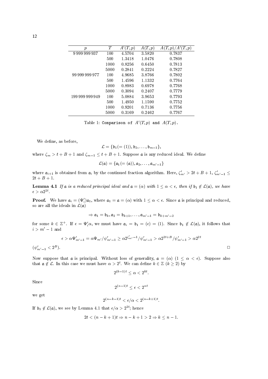| р               | T    | (T,p)<br>A' | A(T,p) | (T,p)<br>.( $T,p)$<br>A' |
|-----------------|------|-------------|--------|--------------------------|
| 9999999937      | 100  | 4.5704      | 3.5820 | 0.7837                   |
|                 | 500  | 1.3418      | 1.0476 | 0.7808                   |
|                 | 1000 | 0.8256      | 0.6450 | 0.7813                   |
|                 | 5000 | 0.2841      | 0.2224 | 0.7827                   |
| 99999999977     | 100  | 4.9685      | 3.8766 | 0.7802                   |
|                 | 500  | 1.4596      | 1.1332 | 0.7764                   |
|                 | 1000 | 0.8983      | 0.6978 | 0.7768                   |
|                 | 5000 | 0.3094      | 0.2407 | 0.7779                   |
| 199 999 999 949 | 100  | 5.0884      | 3.9653 | 0.7793                   |
|                 | 500  | 1.4950      | 1.1590 | 0.7752                   |
|                 | 1000 | 0.9201      | 0.7136 | 0.7756                   |
|                 | 5000 | 0.3169      | 0.2462 | 0.7767                   |
|                 |      |             |        |                          |

Table 1: Comparison of  $A'(T,p)$  and  $A(T,p)$ .

We define, as before,

$$
\mathcal{L} = \{\mathfrak{b}_1(=(1)), \mathfrak{b}_2, \ldots, \mathfrak{b}_{m-1}\},\
$$

where  $\zeta_m > t + B + 1$  and  $\zeta_{m-1} \leq t + B + 1$ . Suppose a is any reduced ideal. We define

$$
\mathcal{L}(\mathfrak{a})=\{\mathfrak{a}_1(=(\mathfrak{a})),\mathfrak{a}_2,\ldots,\mathfrak{a}_{m'-1}\}
$$

where  $\mathfrak{a}_{i+1}$  is obtained from  $\mathfrak{a}_i$  by the continued fraction algorithm. Here,  $\zeta'_{m'} > 2t + B + 1$ ,  $\zeta'_{m'-1} \leq$  $2t + B + 1.$ 

**Lemma 4.1** If a is a reduced principal ideal and  $a = (a)$  with  $1 \le a < \epsilon$ , then if  $b_1 \notin \mathcal{L}(a)$ , we have  $\epsilon > \alpha 2^{2t}.$ 

**Proof.** We have  $\mathfrak{a}_i = (\Psi'_i)\mathfrak{a}_1$ , where  $\mathfrak{a}_1 = \mathfrak{a} = (\alpha)$  with  $1 \leq \alpha < \epsilon$ . Since a is principal and reduced, so are all the ideals in  $\mathcal{L}(\mathfrak{a})$ 

$$
\Rightarrow \mathfrak{a}_1 = \mathfrak{b}_k, \mathfrak{a}_2 = \mathfrak{b}_{k+1}, \dots, \mathfrak{a}_{m'-1} = \mathfrak{b}_{k+m'-2}
$$

for some  $k \in \mathbb{Z}^+$ . If  $\epsilon = \Psi'_i \alpha$ , we must have  $\mathfrak{a}_i = \mathfrak{b}_1 = (\epsilon) = (1)$ . Since  $\mathfrak{b}_1 \notin \mathcal{L}(\mathfrak{a})$ , it follows that  $i > m'-1$  and

$$
\epsilon > \alpha \Psi'_{m'-1} = \alpha \Psi_{m'}/\psi'_{m'-1} \geq \alpha 2^{\zeta'_{m'}-1}/\psi'_{m'-1} > \alpha 2^{2t+B}/\psi'_{m'-1} > \alpha 2^{2t}
$$
  

$$
(\psi'_{m'-1} < 2^B).
$$

Now suppose that a is principal. Without loss of generality,  $a = (\alpha)$   $(1 \leq \alpha < \epsilon)$ . Suppose also that  $a \notin \mathcal{L}$ . In this case we must have  $\alpha > 2^t$ . We can define  $k \in \mathbb{Z}$   $(k \ge 2)$  by

$$
2^{(k-1)t} < \alpha < 2^{kt}
$$

Since

$$
2^{(n-1)t} \le \epsilon < 2^{n}
$$

we get

$$
2^{(n-k-1)t} < \epsilon/\alpha < 2^{(n-k+1)t}
$$

If  $\mathfrak{b}_1 \notin \mathcal{L}(\mathfrak{a})$ , we see by Lemma 4.1 that  $\epsilon/\alpha > 2^{2t}$ ; hence

$$
2t < (n-k+1)t \Rightarrow n-k+1 > 2 \Rightarrow k \leq n-1.
$$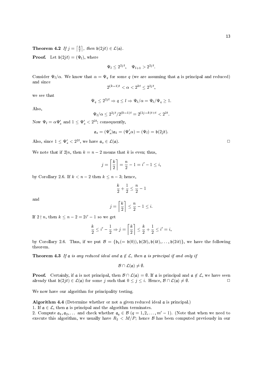**Theorem 4.2** If  $j = \lceil \frac{k}{2} \rceil$ , then  $\mathfrak{b}(2jt) \in \mathcal{L}(\mathfrak{a})$ .

**Proof.** Let  $b(2jt) = (\Psi_l)$ , where

$$
\Psi_l \leq 2^{2jt}, \quad \Psi_{l+1} > 2^{2jt}.
$$

Consider  $\Psi_l/\alpha$ . We know that  $\alpha = \Psi_q$  for some q (we are assuming that a is principal and reduced) and since

 $2^{(k-1)t} < \alpha < 2^{kt} \leq 2^{2jt}$ ,

we see that

$$
\Psi_q \le 2^{2jt} \Rightarrow q \le l \Rightarrow \Psi_l/\alpha = \Psi_l/\Psi_q \ge 1.
$$

Also,

$$
\Psi_l/\alpha \leq 2^{2jt}/2^{(k-1)t} = 2^{(2j-k)t+t} < 2^{2t}
$$

Now  $\Psi_l = \alpha \Psi_s'$  and  $1 \leq \Psi_s' < 2^{2t}$ ; consequently,

$$
\mathfrak{a}_s=(\Psi'_s)\mathfrak{a}_1=(\Psi'_s\alpha)=(\Psi_l)=\mathfrak{b}(2jt).
$$

Also, since  $1 \leq \Psi'_s < 2^{2t}$ , we have  $\mathfrak{a}_s \in \mathcal{L}(\mathfrak{a})$ .

We note that if  $2|n$ , then  $k = n - 2$  means that k is even; thus,

$$
j = \left\lceil \frac{k}{2} \right\rceil = \frac{n}{2} - 1 = i' - 1 \le i,
$$

by Corollary 2.6. If  $k < n-2$  then  $k \leq n-3$ ; hence,

$$
\frac{k}{2} + \frac{1}{2} \le \frac{n}{2} - 1
$$

and

$$
j = \left\lceil \frac{k}{2} \right\rceil \le \frac{n}{2} - 1 \le i.
$$

If  $2 \nmid n$ , then  $k \leq n-2 = 2i' - 1$  so we get

$$
\frac{k}{2} \le i' - \frac{1}{2} \Rightarrow j = \left\lceil \frac{k}{2} \right\rceil \le \frac{k}{2} + \frac{1}{2} \le i' = i.
$$

by Corollary 2.6. Thus, if we put  $\mathcal{B} = \{\mathfrak{b}_1(=\mathfrak{b}(0)), \mathfrak{b}(2t), \mathfrak{b}(4t), \ldots, \mathfrak{b}(2it)\}\)$ , we have the following theorem.

**Theorem 4.3** If a is any reduced ideal and  $a \notin \mathcal{L}$ , then a is principal if and only if

$$
\mathcal{B}\cap\mathcal{L}(\mathfrak{a})\neq\emptyset.
$$

**Proof.** Certainly, if a is not principal, then  $\mathcal{B} \cap \mathcal{L}(\mathfrak{a}) = \emptyset$ . If a is principal and  $\mathfrak{a} \notin \mathcal{L}$ , we have seen already that  $\mathfrak{b}(2jt) \in \mathcal{L}(\mathfrak{a})$  for some j such that  $0 \leq j \leq i$ . Hence,  $\mathcal{B} \cap \mathcal{L}(\mathfrak{a}) \neq \emptyset$ .  $\Box$ 

We now have our algorithm for principality testing.

Algorithm 4.4 (Determine whether or not a given reduced ideal a is principal.)

1. If  $a \in \mathcal{L}$ , then a is principal and the algorithm terminates.

2. Compute  $a_1, a_2, \ldots$  and check whether  $a_q \in \mathcal{B}$   $(q = 1, 2, \ldots, m' - 1)$ . (Note that when we need to execute this algorithm, we usually have  $R_2 < M/P$ ; hence  $\beta$  has been computed previously in our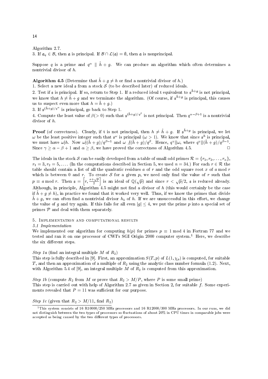### Algorithm 2.7.

3. If  $\mathfrak{a}_a \in \mathcal{B}$ , then  $\mathfrak{a}$  is principal. If  $\mathcal{B} \cap \mathcal{L}(\mathfrak{a}) = \emptyset$ , then  $\mathfrak{a}$  is nonprincipal.

Suppose q is a prime and  $q^{\alpha} \parallel \tilde{h} + q$ . We can produce an algorithm which often determines a nontrivial divisor of  $h$ .

## **Algorithm 4.5** (Determine that  $\tilde{h} + g \neq h$  or find a nontrivial divisor of h.)

1. Select a new ideal  $\frak s$  from a stock  $S$  (to be described later) of reduced ideals.

2. Test if  $\mathfrak s$  is principal. If so, return to Step 1. If a reduced ideal  $\mathfrak t$  equivalent to  $\mathfrak s^{\bar h+g}$  is not principal, we know that  $h \neq \tilde{h} + q$  and we terminate the algorithm. (Of course, if  $s^{\tilde{h}+g}$  is principal, this causes us to suspect even more that  $h = \tilde{h} + g$ .

3. If  $\mathfrak{s}^{(\bar{h}+g)/g^{\alpha}}$  is principal, go back to Step 1.

4. Compute the least value of  $\beta$ (> 0) such that  $\mathfrak{s}^{(\bar{h}+g)/q^{\beta}}$  is not principal. Then  $q^{\alpha-\beta+1}$  is a nontrivial divisor of  $h$ .

**Proof** (of correctness). Clearly, if t is not principal, then  $h \neq \tilde{h} + g$ . If  $\mathfrak{s}^{\tilde{h}+g}$  is principal, we let  $\omega$  be the least positive integer such that  $\mathfrak{s}^{\omega}$  is principal  $(\omega > 1)$ . We know that since  $\mathfrak{s}^{h}$  is principal, we must have  $\omega|h$ . Now  $\omega|(\tilde{h} + g)/q^{\beta-1}$  and  $\omega /(\tilde{h} + g)/q^{\beta}$ . Hence,  $q^{\gamma}||\omega$ , where Since  $\gamma \ge \alpha - \beta + 1$  and  $\alpha \ge \beta$ , we have proved the correctness of Algorithm 4.5.

The ideals in the stock S can be easily developed from a table of small odd primes  $\mathcal{R} = \{r_1, r_2, \ldots, r_n\},\$  $r_1 = 3, r_2 = 5, \ldots$  (In the computations described in Section 5, we used  $n = 34$ .) For each  $r \in \mathcal{R}$  the table should contain a list of all the quadratic residues  $a$  of  $r$  and the odd square root  $x$  of  $a$  mod  $r$ which is between 0 and r. To create S for a given p, we need only find the value of r such that  $p \equiv a \mod r$ . Then  $\mathfrak{s} = \left[ r, \frac{x + \sqrt{p}}{2} \right]$  is an ideal of  $\mathbb{Q}(\sqrt{p})$  and since  $r < \sqrt{p}/2$ ,  $\mathfrak{s}$  is reduced already.<br>Although, in principle, Algorithm 4.5 might not find a divisor of h (this would certainly be th if  $\tilde{h} + q \neq h$ , in practice we found that it worked very well. Thus, if we know the primes that divide  $\tilde{h}$  + g, we can often find a nontrivial divisor  $h_1$  of h. If we are unsuccessful in this effort, we change the value of g and try again. If this fails for all even  $|g| \leq 4$ , we put the prime p into a special set of primes  $P$  and deal with them separately.

### 5. IMPLEMENTATION AND COMPUTATIONAL RESULTS

### 5.1 Implementation

We implemented our algorithm for computing  $h(p)$  for primes  $p \equiv 1 \text{ mod } 4$  in Fortran 77 and we tested and ran it on one processor of CWI's SGI Origin 2000 computer system.<sup>1</sup> Here, we describe the six different steps.

*Step 1a* (find an integral multiple M of  $R_2$ )

This step is fully described in [9]. First, an approximation  $S(T, p)$  of  $L(1, \chi_p)$  is computed, for suitable T, and then an approximation of a multiple of  $R_2$  using the analytic class number formula (1.2). Next, with Algorithm 5.4 of [9], an integral multiple M of  $R_2$  is computed from this approximation.

Step 1b (compute  $R_2$  from M or prove that  $R_2 > M/P$ , where P is some small prime) This step is carried out with help of Algorithm 2.7 as given in Section 2, for suitable  $f$ . Some experiments revealed that  $P = 11$  was sufficient for our purpose.

### *Step 1c* (given that  $R_2 > M/11$ , find  $R_2$ )

14

<sup>&</sup>lt;sup>1</sup>This system consists of 16 R10000/250 MHz processors and 16 R12000/300 MHz processors. In our runs, we did not distinguish between the two types of processors so fluctuations of about 20% in CPU times in comparable jobs were accepted as being caused by the two different types of processors.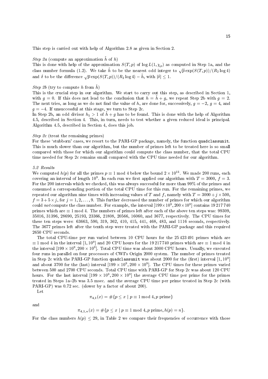This step is carried out with help of Algorithm 2.8 as given in Section 2.

### *Step 2a* (compute an approximation  $\hat{h}$  of  $h$ )

This is done with help of the approximation  $S(T, p)$  of  $\log L(1, \chi_p)$  as computed in Step 1a, and the class number formula (1.2). We take  $\tilde{h}$  to be the nearest odd integer to  $\sqrt{p} \exp(S(T, p))/(R_2 \log 4)$ and  $\delta$  to be the difference  $\sqrt{p} \exp(S(T, p))/(R_2 \log 4) - h$ , with  $|\delta| \leq 1$ .

### *Step 2b* (try to compute h from  $\tilde{h}$ )

This is the crucial step in our algorithm. We start to carry out this step, as described in Section 1, with  $q = 0$ . If this does not lead to the conclusion that  $h = h + q$ , we repeat Step 2b with  $q = 2$ . The next tries, as long as we do not find the value of h, are done for, successively,  $g = -2$ ,  $g = 4$ , and  $g = -4$ . If unsuccessful at this stage, we turn to Step 2c.

In Step 2b, an odd divisor  $h_1 > 1$  of  $\tilde{h} + g$  has to be found. This is done with the help of Algorithm 4.5, described in Section 4. This, in turn, needs to test whether a given reduced ideal is principal. Algorithm 4.5, described in Section 4, does this job.

### *Step 2c* (treat the remaining primes)

For these 'stubborn' cases, we resort to the PARI-GP package, namely, the function quadclassunit. This is much slower than our algorithm, but the number of primes left to be treated here is so small compared with those for which our algorithm could compute the class number, that the total CPU time needed for Step 2c remains small compared with the CPU time needed for our algorithm.

### 5.2 Results

We computed  $h(p)$  for all the primes  $p \equiv 1 \mod 4$  below the bound  $2 \times 10^{11}$ . We made 200 runs, each covering an interval of length 10<sup>9</sup>. In each run we first applied our algorithm with  $T = 3000$ ,  $f = 3$ . For the 200 intervals which we checked, this was always successful for more than 99% of the primes and consumed a corresponding portion of the total CPU time for this run. For the remaining primes, we repeated our algorithm nine times with increasing values of T and f, namely with  $T = 3000 + j \times 500$ ,  $f = 3 + 5 \times j$ , for  $j = 1, 2, ..., 9$ . This further decreased the number of primes for which our algorithm could not compute the class number. For example, the interval  $[199 \times 10^9, 200 \times 10^9]$  contains 19217740 primes which are  $\equiv 1$  mod 4. The numbers of primes left after each of the above ten steps was: 99309. 35016, 31396, 28690, 25193, 23366, 21808, 20566, 16060, and 3677, respectively. The CPU times for these ten steps were: 63663, 590, 319, 362, 410, 415, 441, 468, 483, and 1116 seconds, respectively. The 3677 primes left after the tenth step were treated with the PARI-GP package and this required 2650 CPU seconds.

The total CPU-time per run varied between 10 CPU hours for the 25423491 primes which are  $\equiv$  1 mod 4 in the interval [1, 10<sup>9</sup>] and 20 CPU hours for the 19 217 740 primes which are  $\equiv$  1 mod 4 in the interval  $[199 \times 10^9, 200 \times 10^9]$ . Total CPU time was about 3000 CPU hours. Usually, we executed four runs in parallel on four processors of CWI's Origin 2000 system. The number of primes treated in Step 2c with the PARI-GP function quadclassunit was about 2000 for the (first) interval [1,10<sup>9</sup> and about 3700 for the (last) interval  $[199 \times 10^9, 200 \times 10^9]$ . The CPU times for these primes varied between 500 and 2700 CPU seconds. Total CPU time with PARI-GP for Step 2c was about 120 CPU hours. For the last interval  $[199 \times 10^9, 200 \times 10^9]$  the average CPU time per prime for the primes treated in Steps 1a–2b was 3.5 msec. and the average CPU time per prime treated in Step 2c (with PARI-GP) was 0.72 sec. (slower by a factor of about 200).

Let

$$
\pi_{4,1}(x)=\#\{p\leq x\mid p\equiv 1\;\text{mod}\; 4,p\;\text{prime}\}
$$

and

$$
\pi_{4,1,n}(x) = \#\{p \le x \mid p \equiv 1 \text{ mod } 4, p \text{ prime}, h(p) = n\}
$$

For the class numbers  $h(p) \leq 29$ , in Table 2 we compare their frequencies of occurrence with those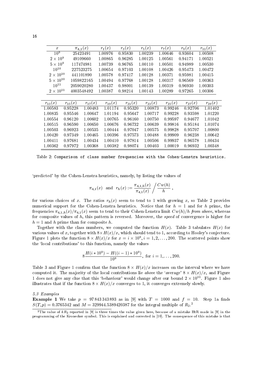| $\boldsymbol{x}$ | $\pi_{4,1}(x)$ |             | $r_1(x)$    | $r_3(x)$    | $r_5(x)$    | $r_7(x)$    | $r_9(x)$    | $r_{11}(x)$ |
|------------------|----------------|-------------|-------------|-------------|-------------|-------------|-------------|-------------|
| 10 <sup>9</sup>  | 25423491       |             | 1.00976     | 0.95830     | 1.00239     | 1.00646     | 0.93604     | 1.00508     |
| $2\times10^9$    | 49109660       |             | 1.00865     | 0.96285     | 1.00125     | 1.00561     | 0.94171     | 1.00521     |
| $5 \times 10^9$  | 117474981      |             | 1.00739     | 0.96765     | 1.00110     | 1.00501     | 0.94989     | 1.00530     |
| $10^{10}$        | 227523275      |             | 1.00654     | 0.97103     | 1.00108     | 1.00426     | 0.95473     | 1.00472     |
| $2\times10^{10}$ |                | 441101890   | 1.00578     | 0.97417     | 1.00128     | 1.00371     | 0.95981     | 1.00415     |
| $5\times10^{10}$ |                | 1059822165  | 1.00494     | 0.97768     | 1.00128     | 1.00317     | 0.96569     | 1.00363     |
| $10^{11}\,$      |                | 2059020280  | 1.00437     | 0.98001     | 1.00139     | 1.00319     | 0.96930     | 1.00303     |
| $2\times10^{11}$ |                | 4003548492  | 1.00387     | 0.98214     | 1.00143     | 1.00289     | 0.97265     | 1.00306     |
|                  |                |             |             |             |             |             |             |             |
| $r_{13}(x)$      | $r_{15}(x)$    | $r_{17}(x)$ | $r_{19}(x)$ | $r_{21}(x)$ | $r_{23}(x)$ | $r_{25}(x)$ | $r_{27}(x)$ | $r_{29}(x)$ |
| 1.00583          | 0.95228        | 1.00483     | 1.01174     | 0.95320     | 1.00873     | 0.99246     | 0.92706     | 1.01402     |
| 1.00835          | 0.95546        | 1.00647     | 1.01194     | 0.95647     | 1.00717     | 0.99228     | 0.93598     | 1.01220     |
| 1.00554          | 0.96120        | 1.00602     | 1.00765     | 0.96160     | 1.00750     | 0.99597     | 0.94677     | 1.01042     |
| 1.00515          | 0.96590        | 1.00650     | 1.00676     | 0.96732     | 1.00639     | 0.99816     | 0.95184     | 1.01074     |
| 1.00503          | 0.96923        | 1.00535     | 1.00444     | 0.97047     | 1.00575     | 0.99828     | 0.95707     | 1.00800     |
| 1.00420          | 0.97349        | 1.00465     | 1.00396     | 0.97573     | 1.00488     | 0.99909     | 0.96238     | 1.00642     |
| 1.00411          | 0.97681        | 1.00434     | 1.00410     | 0.97814     | 1.00506     | 0.99937     | 0.96578     | 1.00434     |
| 1.00362          | 0.97972        | 1.00368     | 1.00382     | 0.98074     | 1.00403     | 1.00019     | 0.96932     | 1.00348     |

and the contract of the contract of the contract of the contract of the contract of the contract of the contract of the contract of the contract of the contract of the contract of the contract of the contract of the contra

J--= - \*-- - % -% - -

$$
\pi_{4,1}(x) \ \ \text{and} \ \ r_h(x):=\frac{\pi_{4,1,h}(x)}{\pi_{4,1}(x)}\left/\frac{Cw(h)}{h}\right.,
$$

 - 2- - -- - ! % 2- - - - \*-- - 3- ! -% -- -- 6 6 -- - - \*--  % -- - - % - --- I--% - --- - . The contract of the contract of the contract of the contract of the contract of the contract of the contract of the contract of the contract of the contract of the contract of the contract of the contract of the contract

2-- - -% - - - 2- ( - - % -- .% - !% 8-= - -Figure 1 plots the function  $\delta \times H(x)/x$  for  $x = i \times 10$ ,  $i = 1, 2, \ldots, 200$ . The scattered points show - J = % - - -

$$
8\frac{H(i*10^9) - H((i-1)*10^9)}{10^9}, \text{ for } i = 1, \dots, 200.
$$

2- ( A - ! - . -- -- -- - - - 2- - - - J--= . % A - $1$  does not give any clue that this behaviour would change after our bound  $2 \times 10^{-4}$ . Figure 1 also - - . -- !% -- -&--

 $5.3$  Examples

**Example 1** We take  $p = 97843343893$  as in [9] with  $T = 1000$  and  $f = 10$ . Step 1a finds  $S(1, p) = 0.5705342$  and  $M = 529944.5589420567$  for the integral multiple of  $R_2$ .

The value of  $\kappa n_2$  reported in [9] is three times the value given here, because of a mistake ritin made in [9] in the !!  - 0 / " ( - 1( ,
. - 2  - / -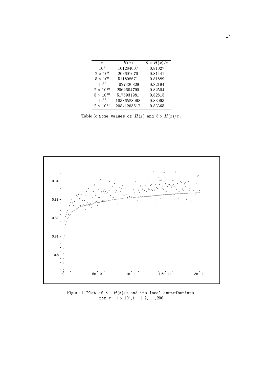| $\boldsymbol{x}$   | H(x)        | $8 \times H(x)$<br>$\!\! /x$ |  |  |
|--------------------|-------------|------------------------------|--|--|
| 10 <sup>9</sup>    | 101284007   | 0.81027                      |  |  |
| $2\times10^9$      | 203601670   | 0.81441                      |  |  |
| $5\times10^9$      | 511808671   | 0.81889                      |  |  |
| $10^{10}$          | 1027420829  | 0.82194                      |  |  |
| $2\times10^{10}$   | 2062604790  | 0.82504                      |  |  |
| $5\times10^{10}$   | 5175931981  | 0.82815                      |  |  |
| $10^{11}$          | 10386588068 | 0.83093                      |  |  |
| $2 \times 10^{11}$ | 20841205517 | 0.83365                      |  |  |

Table 3: Some values of  $H(x)$  and  $8 \times H(x)/x$ .



Figure 1: Plot of  $8 \times H(x)/x$  and its local contributions<br>for  $x = i \times 10^9, i = 1, 2, ..., 200$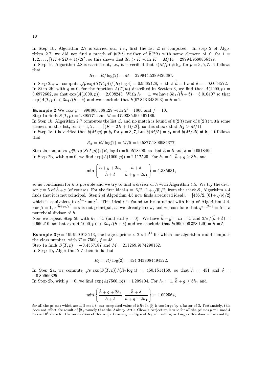In Step 1b, Algorithm 2.7 is carried out, i.e., first the list  $\mathcal L$  is computed. In step 2 of Algorithm 2.7, we did not find a match of  $b(2it)$  neither of  $\overline{b}(2it)$  with some element of  $\mathcal{L}$ , for  $i =$  $1, 2, \ldots$ ,  $[(K+2B+1)/2t]$ , so this shows that  $R_2 > K$  with  $K = M/11 = 29994.9580856399$ .

In Step 1c, Algorithm 2.8 is carried out, i.e., it is verified that  $\mathfrak{b}(M/p) \neq \mathfrak{b}_1$ , for  $p = 3, 5, 7$ . It follows that

$$
R_2=R/\log(2)=M=329944.5389420387.
$$

In Step 2a, we compute  $\sqrt{p} \exp(S(T, p))/(R_2 \log 4) = 0.9965428$ , so that  $\tilde{h} = 1$  and  $\delta = -0.0034572$ . In Step 2b, with  $g = 0$ , for the function  $A(T, m)$  described in Section 3, we find that  $A(1000, p) =$ 0.6972602, so that  $\exp(A(1000, p)) = 2.008243$ . With  $h_1 = 1$ , we have  $3h_1/(h+\delta) = 3.010407$  so that  $\exp(A(T, p)) < 3h_1/(h + \delta)$  and we conclude that  $h(97 843 343 893) = h = 1$ .

**Example 2** We take  $p = 990000388129$  with  $T = 1000$  and  $f = 10$ .

Step 1a finds  $S(T, p) = 1.895771$  and  $M = 4729385.900492189$ .

In Step 1b, Algorithm 2.7 computes the list L, and no match is found of  $b(2it)$  nor of  $\overline{b}(2it)$  with some element in this list, for  $i = 1, 2, \ldots, [(K + 2B + 1)/2t]$ , so this shows that  $R_2 > M/11$ .

In Step 1c it is verified that  $\mathfrak{b}(M/p) \neq \mathfrak{b}_1$  for  $p = 3, 7$ , but  $\mathfrak{b}(M/5) = \mathfrak{b}_1$  and  $\mathfrak{b}(M/25) \neq \mathfrak{b}_1$ . It follows that

$$
R_2 = R/\log(2) = M/5 = 945877.1800984377.
$$

Step 2a computes  $\sqrt{p} \exp(S(T, p))/(R_2 \log 4) = 5.0518490$ , so that  $\tilde{h} = 5$  and  $\delta = 0.0518490$ . In Step 2b, with  $g = 0$ , we find  $\exp(A(1000, p)) = 2.117520$ . For  $h_1 = 1$ ,  $\tilde{h} + g \ge 3h_1$  and

$$
\min\left\{\frac{\tilde{h} + g + 2h_1}{\tilde{h} + \delta}, \frac{\tilde{h} + \delta}{\tilde{h} + g - 2h_1}\right\} = 1.385631,
$$

so no conclusion for  $h$  is possible and we try to find a divisor of  $h$  with Algorithm 4.5. We try the divisor  $q = 5$  of  $\tilde{h} + g$  (of course). For the first ideal  $\mathfrak{s} = [6/2, (1 + \sqrt{p})/2]$  from the stock S, Algorithm 4.4 finds that it is not principal. Step 2 of Algorithm 4.5 now finds a reduced ideal  $t = [486/2, (61 + \sqrt{p})/2]$ which is equivalent to  $\mathfrak{s}^{\tilde{h}+g} = \mathfrak{s}^5$ . This ideal t is found to be principal with help of Algorithm 4.4. For  $\beta = 1$ ,  $\mathfrak{s}^{(\bar{h}+g)/g^{\beta}} = \mathfrak{s}$  is not principal, as we already know, and we conclude that  $g^{\alpha-\beta+1} = 5$  is a nontrivial divisor of  $h$ .

Now we repeat Step 2b with  $h_1 = 5$  (and still  $g = 0$ ). We have  $\tilde{h} + g = h_1 = 5$  and  $3h_1/(\tilde{h} + \delta) =$ 2.969210, so that  $\exp(A(1000, p)) < 3h_1/(\tilde{h} + \delta)$  and we conclude that  $h(990000388129) = \tilde{h} = 5$ .

**Example 3**  $p = 199999913213$ , the largest prime  $\lt 2 \times 10^{11}$  for which our algorithm could compute the class number, with  $T = 7500$ ,  $f = 48$ .

Step 1a finds  $S(T, p) = -0.4557187$  and  $M = 211269.9174290152$ . In Step 1b, Algorithm 2.7 then finds that

$$
R_2 = R/\log(2) = 454.3439084494522.
$$

In Step 2a, we compute  $\sqrt{p} \exp(S(T,p))/(R_2 \log 4) = 450.1514159$ , so that  $\tilde{h} = 451$  and  $\delta =$  $-0.80966325.$ 

In Step 2b, with  $g = 0$ , we find  $\exp(A(7500, p)) = 1.209404$ . For  $h_1 = 1$ ,  $\tilde{h} + g \ge 3h_1$  and

$$
\min\left\{\frac{\tilde{h}+g+2h_1}{\tilde{h}+\delta},\frac{\tilde{h}+\delta}{\tilde{h}+g-2h_1}\right\} = 1.002564,
$$

for all the primes which are  $\equiv$  5 mod 8, our computed value of kR<sub>2</sub> in [9] is too large by a factor of 3. Fortunately, this does not affect the result of [9], namely that the Ankeny-Artin-Chowla conjecture is true for all the primes  $p \equiv 1 \mod 4$ below 10<sup>9</sup> since for the verification of this conjecture any multiple of  $R_2$  will suffice, as long as this does not exceed 8p.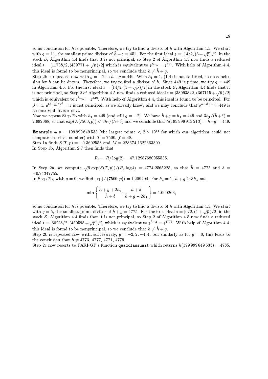so no conclusion for h is possible. Therefore, we try to find a divisor of h with Algorithm 4.5. We start with  $q = 11$ , the smallest prime divisor of  $\tilde{h} + g = 451$ . For the first ideal  $s = \left[\frac{14}{2}, \left(3 + \sqrt{p}\right)/2\right]$  in the stock  $S$ , Algorithm 4.4 finds that it is not principal, so Step 2 of Algorithm 4.5 now finds a reduced ideal  $t = [11738/2, (439771 + \sqrt{p})/2]$  which is equivalent to  $\mathfrak{s}^{\tilde{h}+g} = \mathfrak{s}^{\tilde{4}51}$ . With help of Algorithm 4.4. this ideal is found to be nonprincipal, so we conclude that  $h \neq \tilde{h} + g$ .

Step 2b is repeated now with  $g = -2$  so  $\tilde{h} + g = 449$ . With  $h_1 = 1$ , (1.4) is not satisfied, so no conclusion for h can be drawn. Therefore, we try to find a divisor of h. Since 449 is prime, we try  $q = 449$ in Algorithm 4.5. For the first ideal  $\mathfrak{s} = [14/2, (3 + \sqrt{p})/2]$  in the stock S, Algorithm 4.4 finds that it is not principal, so Step 2 of Algorithm 4.5 now finds a reduced ideal  $t = \left[\frac{380938}{2}, \frac{(367115 + \sqrt{p})}{2}\right]$ which is equivalent to  $\mathfrak{s}^{\bar{h}+g} = \mathfrak{s}^{449}$ . With help of Algorithm 4.4, this ideal is found to be principal. For  $\beta = 1$ ,  $\mathfrak{s}^{(\bar{h}+g)/q^{\beta}} = \mathfrak{s}$  is not principal, as we already know, and we may conclude that  $q^{\alpha-\beta+1} = 449$  is a nontrivial divisor of  $h$ .

Now we repeat Step 2b with  $h_1 = 449$  (and still  $g = -2$ ). We have  $\tilde{h} + g = h_1 = 449$  and  $3h_1/(\tilde{h} + \delta) =$ 2.992068, so that  $\exp(A(7500, p)) < 3h_1/(\tilde{h}+\delta)$  and we conclude that  $h(199999913213) = \tilde{h}+g = 449$ .

**Example 4**  $p = 199999649533$  (the largest prime  $\langle 2 \times 10^{11} \rangle$  for which our algorithm could not compute the class number) with  $T = 7500$ ,  $f = 48$ .

Step 1a finds  $S(T, p) = -0.3602558$  and  $M = 228674.1622363300$ . In Step 1b, Algorithm 2.7 then finds that

$$
R_2 = R/\log(2) = 47.12987680055535.
$$

In Step 2a, we compute  $\sqrt{p} \exp(S(T, p))/(R_2 \log 4) = 4774.2565225$ , so that  $\tilde{h} = 4775$  and  $\delta =$  $-0.74347755.$ 

In Step 2b, with  $g = 0$ , we find  $\exp(A(7500, p)) = 1.209404$ . For  $h_1 = 1$ ,  $\tilde{h} + g \ge 3h_1$  and

$$
\min\left\{\frac{\tilde{h}+g+2h_1}{\tilde{h}+\delta},\frac{\tilde{h}+\delta}{\tilde{h}+g-2h_1}\right\} = 1.000263,
$$

so no conclusion for h is possible. Therefore, we try to find a divisor of h with Algorithm 4.5. We start with  $q = 5$ , the smallest prime divisor of  $h + g = 4775$ . For the first ideal  $\mathfrak{s} = \left[\frac{6}{2}, \left(1 + \sqrt{p}\right)/2\right]$  in the stock  $S$ , Algorithm 4.4 finds that it is not principal, so Step 2 of Algorithm 4.5 now finds a reduced ideal  $t = \left[\frac{60238}{2}, \frac{430595 + \sqrt{p}}{2}\right]$  which is equivalent to  $s^{\bar{h}+g} = s^{4775}$ . With help of Algorithm 4.4, this ideal is found to be nonprincipal, so we conclude that  $h \neq \tilde{h} + g$ .

Step 2b is repeated now with, successively,  $g = -2, 2, -4, 4$ , but similarly as for  $g = 0$ , this leads to the conclusion that  $h \neq 4773, 4777, 4771, 4779$ .

Step 2c now resorts to PARI-GP's function quadclassunit which returns  $h(199999649533) = 4785$ .